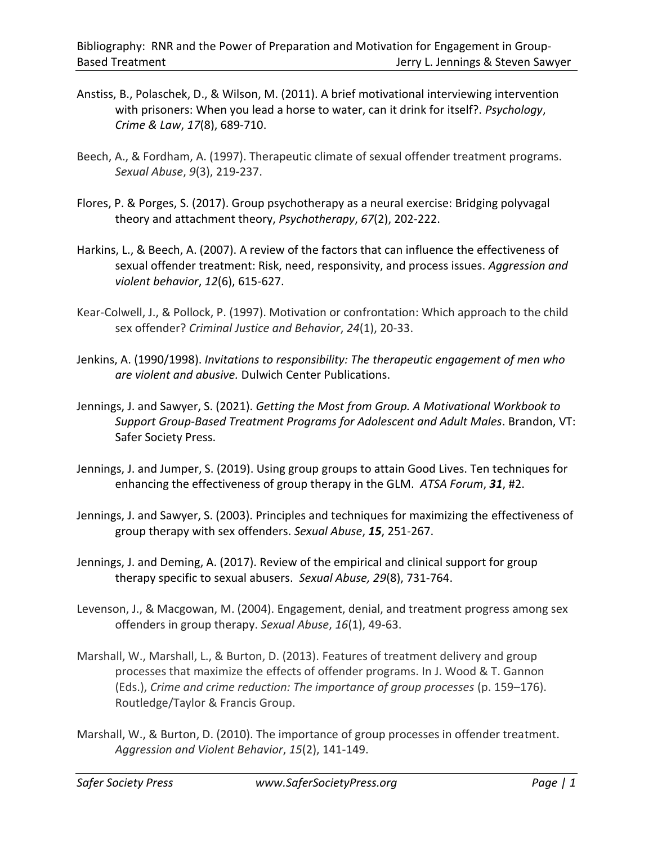- Anstiss, B., Polaschek, D., & Wilson, M. (2011). A brief motivational interviewing intervention with prisoners: When you lead a horse to water, can it drink for itself?. *Psychology*, *Crime & Law*, *17*(8), 689-710.
- Beech, A., & Fordham, A. (1997). Therapeutic climate of sexual offender treatment programs. *Sexual Abuse*, *9*(3), 219-237.
- Flores, P. & Porges, S. (2017). Group psychotherapy as a neural exercise: Bridging polyvagal theory and attachment theory, *Psychotherapy*, *67*(2), 202-222.
- Harkins, L., & Beech, A. (2007). A review of the factors that can influence the effectiveness of sexual offender treatment: Risk, need, responsivity, and process issues. *Aggression and violent behavior*, *12*(6), 615-627.
- Kear-Colwell, J., & Pollock, P. (1997). Motivation or confrontation: Which approach to the child sex offender? *Criminal Justice and Behavior*, *24*(1), 20-33.
- Jenkins, A. (1990/1998). *Invitations to responsibility: The therapeutic engagement of men who are violent and abusive.* Dulwich Center Publications.
- Jennings, J. and Sawyer, S. (2021). *Getting the Most from Group. A Motivational Workbook to Support Group-Based Treatment Programs for Adolescent and Adult Males*. Brandon, VT: Safer Society Press.
- Jennings, J. and Jumper, S. (2019). Using group groups to attain Good Lives. Ten techniques for enhancing the effectiveness of group therapy in the GLM. *ATSA Forum*, *31*, #2.
- Jennings, J. and Sawyer, S. (2003). Principles and techniques for maximizing the effectiveness of group therapy with sex offenders. *Sexual Abuse*, *15*, 251-267.
- Jennings, J. and Deming, A. (2017). Review of the empirical and clinical support for group therapy specific to sexual abusers. *Sexual Abuse, 29*(8), 731-764.
- Levenson, J., & Macgowan, M. (2004). Engagement, denial, and treatment progress among sex offenders in group therapy. *Sexual Abuse*, *16*(1), 49-63.
- Marshall, W., Marshall, L., & Burton, D. (2013). Features of treatment delivery and group processes that maximize the effects of offender programs. In J. Wood & T. Gannon (Eds.), *Crime and crime reduction: The importance of group processes* (p. 159–176). Routledge/Taylor & Francis Group.
- Marshall, W., & Burton, D. (2010). The importance of group processes in offender treatment. *Aggression and Violent Behavior*, *15*(2), 141-149.